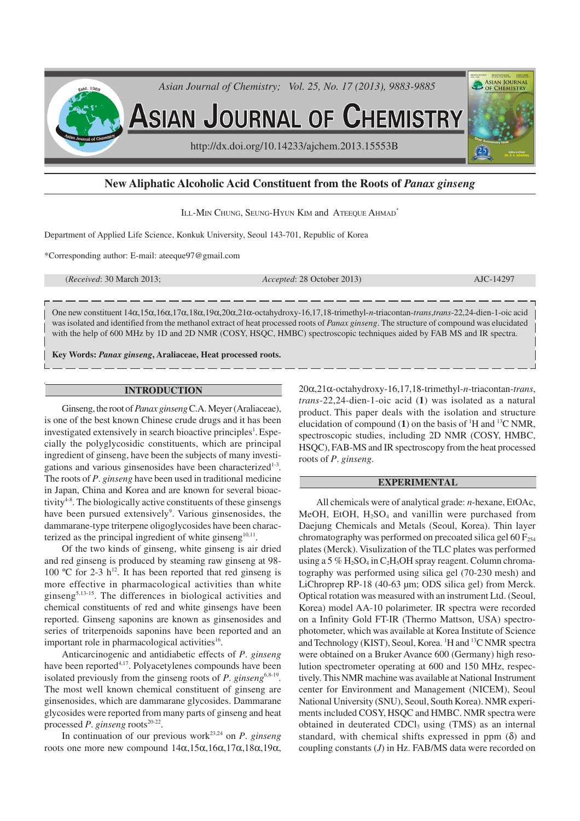

# **New Aliphatic Alcoholic Acid Constituent from the Roots of** *Panax ginseng*

ILL-MIN CHUNG, SEUNG-HYUN KIM and ATEEQUE AHMAD<sup>\*</sup>

Department of Applied Life Science, Konkuk University, Seoul 143-701, Republic of Korea

\*Corresponding author: E-mail: ateeque97@gmail.com

(*Received*: 30 March 2013; *Accepted*: 28 October 2013) AJC-14297

One new constituent 14α,15α,16α,17α,18α,19α,20α,21α-octahydroxy-16,17,18-trimethyl-*n*-triacontan-*trans*,*trans*-22,24-dien-1-oic acid was isolated and identified from the methanol extract of heat processed roots of *Panax ginseng*. The structure of compound was elucidated with the help of 600 MHz by 1D and 2D NMR (COSY, HSQC, HMBC) spectroscopic techniques aided by FAB MS and IR spectra.

**Key Words:** *Panax ginseng***, Araliaceae, Heat processed roots.**

### **INTRODUCTION**

Ginseng, the root of *Panax ginseng* C.A. Meyer (Araliaceae), is one of the best known Chinese crude drugs and it has been investigated extensively in search bioactive principles<sup>1</sup>. Especially the polyglycosidic constituents, which are principal ingredient of ginseng, have been the subjects of many investigations and various ginsenosides have been characterized<sup>1-3</sup>. The roots of *P*. *ginseng* have been used in traditional medicine in Japan, China and Korea and are known for several bioactivity<sup>48</sup>. The biologically active constituents of these ginsengs have been pursued extensively<sup>9</sup>. Various ginsenosides, the dammarane-type triterpene oligoglycosides have been characterized as the principal ingredient of white ginseng $10,11$ .

Of the two kinds of ginseng, white ginseng is air dried and red ginseng is produced by steaming raw ginseng at 98- 100 °C for 2-3  $h^{12}$ . It has been reported that red ginseng is more effective in pharmacological activities than white ginseng<sup>5,13-15</sup>. The differences in biological activities and chemical constituents of red and white ginsengs have been reported. Ginseng saponins are known as ginsenosides and series of triterpenoids saponins have been reported and an important role in pharmacological activities<sup>16</sup>.

Anticarcinogenic and antidiabetic effects of *P*. *ginseng* have been reported<sup>4,17</sup>. Polyacetylenes compounds have been isolated previously from the ginseng roots of *P*. ginseng<sup>6,8-19</sup>. The most well known chemical constituent of ginseng are ginsenosides, which are dammarane glycosides. Dammarane glycosides were reported from many parts of ginseng and heat processed *P*. *ginseng* roots<sup>20-22</sup>.

In continuation of our previous work 23,24 on *P*. *ginseng* roots one more new compound 14α,15α,16α,17α,18α,19α, 20α,21α-octahydroxy-16,17,18-trimethyl-*n*-triacontan-*trans*, *trans*-22,24-dien-1-oic acid (**1**) was isolated as a natural product. This paper deals with the isolation and structure elucidation of compound  $(1)$  on the basis of <sup>1</sup>H and <sup>13</sup>C NMR, spectroscopic studies, including 2D NMR (COSY, HMBC, HSQC), FAB-MS and IR spectroscopy from the heat processed roots of *P*. *ginseng*.

### **EXPERIMENTAL**

All chemicals were of analytical grade: *n*-hexane, EtOAc, MeOH, EtOH,  $H<sub>2</sub>SO<sub>4</sub>$  and vanillin were purchased from Daejung Chemicals and Metals (Seoul, Korea). Thin layer chromatography was performed on precoated silica gel 60  $F<sub>254</sub>$ plates (Merck). Visulization of the TLC plates was performed using a 5 %  $H_2SO_4$  in C<sub>2</sub>H<sub>5</sub>OH spray reagent. Column chromatography was performed using silica gel (70-230 mesh) and LiChroprep RP-18 (40-63 µm; ODS silica gel) from Merck. Optical rotation was measured with an instrument Ltd. (Seoul, Korea) model AA-10 polarimeter. IR spectra were recorded on a Infinity Gold FT-IR (Thermo Mattson, USA) spectrophotometer, which was available at Korea Institute of Science and Technology (KIST), Seoul, Korea. <sup>1</sup>H and <sup>13</sup>C NMR spectra were obtained on a Bruker Avance 600 (Germany) high resolution spectrometer operating at 600 and 150 MHz, respectively. This NMR machine was available at National Instrument center for Environment and Management (NICEM), Seoul National University (SNU), Seoul, South Korea). NMR experiments included COSY, HSQC and HMBC. NMR spectra were obtained in deuterated CDCl<sub>3</sub> using (TMS) as an internal standard, with chemical shifts expressed in ppm  $(\delta)$  and coupling constants (*J*) in Hz. FAB/MS data were recorded on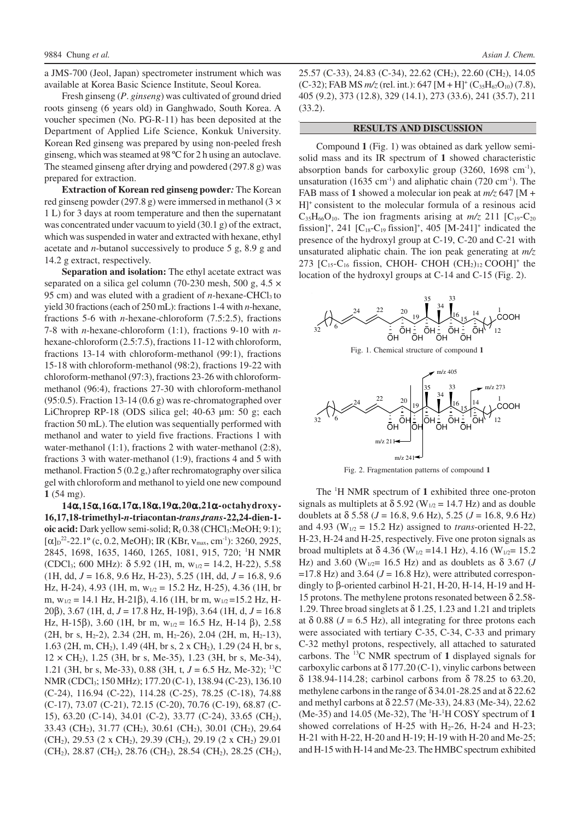a JMS-700 (Jeol, Japan) spectrometer instrument which was available at Korea Basic Science Institute, Seoul Korea.

Fresh ginseng (*P*. *ginseng*) was cultivated of ground dried roots ginseng (6 years old) in Ganghwado, South Korea. A voucher specimen (No. PG-R-11) has been deposited at the Department of Applied Life Science, Konkuk University. Korean Red ginseng was prepared by using non-peeled fresh ginseng, which was steamed at 98 ºC for 2 h using an autoclave. The steamed ginseng after drying and powdered (297.8 g) was prepared for extraction.

**Extraction of Korean red ginseng powder***:* The Korean red ginseng powder (297.8 g) were immersed in methanol (3  $\times$ 1 L) for 3 days at room temperature and then the supernatant was concentrated under vacuum to yield (30.1 g) of the extract, which was suspended in water and extracted with hexane, ethyl acetate and *n*-butanol successively to produce 5 g, 8.9 g and 14.2 g extract, respectively.

**Separation and isolation:** The ethyl acetate extract was separated on a silica gel column (70-230 mesh, 500 g, 4.5  $\times$ 95 cm) and was eluted with a gradient of *n*-hexane-CHCl<sub>3</sub> to yield 30 fractions (each of 250 mL): fractions 1-4 with *n*-hexane, fractions 5-6 with *n*-hexane-chloroform (7.5:2.5), fractions 7-8 with *n*-hexane-chloroform (1:1), fractions 9-10 with *n*hexane-chloroform (2.5:7.5), fractions 11-12 with chloroform, fractions 13-14 with chloroform-methanol (99:1), fractions 15-18 with chloroform-methanol (98:2), fractions 19-22 with chloroform-methanol (97:3), fractions 23-26 with chloroformmethanol (96:4), fractions 27-30 with chloroform-methanol (95:0.5). Fraction 13-14 (0.6 g) was re-chromatographed over LiChroprep RP-18 (ODS silica gel; 40-63 µm: 50 g; each fraction 50 mL). The elution was sequentially performed with methanol and water to yield five fractions. Fractions 1 with water-methanol (1:1), fractions 2 with water-methanol (2:8), fractions 3 with water-methanol (1:9), fractions 4 and 5 with methanol. Fraction 5 (0.2 g,) after rechromatography over silica gel with chloroform and methanol to yield one new compound **1** (54 mg).

**14**α**,15**α**,16**α**,17**α**,18**α**,19**α**,20**α**,21**α**-octahydroxy-16,17,18-trimethyl-***n***-triacontan-***trans***,***trans***-22,24-dien-1 oic acid:** Dark yellow semi-solid; R<sub>f</sub> 0.38 (CHCl<sub>3</sub>:MeOH; 9:1);  $[\alpha]_{\text{D}}^{22}$ -22.1° (c, 0.2, MeOH); IR (KBr, v<sub>max</sub>, cm<sup>-1</sup>): 3260, 2925, 2845, 1698, 1635, 1460, 1265, 1081, 915, 720; <sup>1</sup>H NMR (CDCl3; 600 MHz): δ 5.92 (1H, m, w1/2 = 14.2, H-22), 5.58 (1H, dd, *J* = 16.8, 9.6 Hz, H-23), 5.25 (1H, dd, *J* = 16.8, 9.6 Hz, H-24), 4.93 (1H, m,  $w_{1/2} = 15.2$  Hz, H-25), 4.36 (1H, br m,  $w_{1/2} = 14.1$  Hz, H-21 $\beta$ ), 4.16 (1H, br m,  $w_{1/2} = 15.2$  Hz, H-20β), 3.67 (1H, d, *J* = 17.8 Hz, H-19β), 3.64 (1H, d, *J* = 16.8 Hz, H-15 $\beta$ ), 3.60 (1H, br m, w<sub>1/2</sub> = 16.5 Hz, H-14  $\beta$ ), 2.58  $(2H, br s, H<sub>2</sub>-2), 2.34 (2H, m, H<sub>2</sub>-26), 2.04 (2H, m, H<sub>2</sub>-13),$ 1.63 (2H, m, CH2), 1.49 (4H, br s, 2 x CH2), 1.29 (24 H, br s,  $12 \times CH_2$ ), 1.25 (3H, br s, Me-35), 1.23 (3H, br s, Me-34), 1.21 (3H, br s, Me-33), 0.88 (3H, t, *J* = 6.5 Hz, Me-32); <sup>13</sup>C NMR (CDCl3; 150 MHz); 177.20 (C-1), 138.94 (C-23), 136.10 (C-24), 116.94 (C-22), 114.28 (C-25), 78.25 (C-18), 74.88 (C-17), 73.07 (C-21), 72.15 (C-20), 70.76 (C-19), 68.87 (C-15), 63.20 (C-14), 34.01 (C-2), 33.77 (C-24), 33.65 (CH2), 33.43 (CH2), 31.77 (CH2), 30.61 (CH2), 30.01 (CH2), 29.64 (CH<sub>2</sub>), 29.53 (2 x CH<sub>2</sub>), 29.39 (CH<sub>2</sub>), 29.19 (2 x CH<sub>2</sub>) 29.01 (CH<sub>2</sub>), 28.87 (CH<sub>2</sub>), 28.76 (CH<sub>2</sub>), 28.54 (CH<sub>2</sub>), 28.25 (CH<sub>2</sub>),

25.57 (C-33), 24.83 (C-34), 22.62 (CH2), 22.60 (CH2), 14.05  $(C-32)$ ; FAB MS  $m/z$  (rel. int.): 647 [M + H]<sup>+</sup>  $(C_{35}H_{67}O_{10})$  (7.8), 405 (9.2), 373 (12.8), 329 (14.1), 273 (33.6), 241 (35.7), 211 (33.2).

#### **RESULTS AND DISCUSSION**

Compound **1** (Fig. 1) was obtained as dark yellow semisolid mass and its IR spectrum of **1** showed characteristic absorption bands for carboxylic group  $(3260, 1698 \text{ cm}^{-1}),$ unsaturation (1635 cm<sup>-1</sup>) and aliphatic chain (720 cm<sup>-1</sup>). The FAB mass of **1** showed a molecular ion peak at *m/z* 647 [M + H]<sup>+</sup> consistent to the molecular formula of a resinous acid  $C_{35}H_{66}O_{10}$ . The ion fragments arising at  $m/z$  211 [C<sub>19</sub>-C<sub>20</sub> fission]<sup>+</sup>, 241 [C<sub>18</sub>-C<sub>19</sub> fission]<sup>+</sup>, 405 [M-241]<sup>+</sup> indicated the presence of the hydroxyl group at C-19, C-20 and C-21 with unsaturated aliphatic chain. The ion peak generating at *m/z* 273  $[C_{15}$ -C<sub>16</sub> fission, CHOH- CHOH  $(CH<sub>2</sub>)<sub>12</sub>$ COOH]<sup>+</sup> the location of the hydroxyl groups at C-14 and C-15 (Fig. 2).







Fig. 2. Fragmentation patterns of compound **1**

The <sup>1</sup>H NMR spectrum of **1** exhibited three one-proton signals as multiplets at  $\delta$  5.92 (W<sub>1/2</sub> = 14.7 Hz) and as double doublets at δ 5.58 (*J* = 16.8, 9.6 Hz), 5.25 (*J* = 16.8, 9.6 Hz) and 4.93 ( $W_{1/2}$  = 15.2 Hz) assigned to *trans*-oriented H-22, H-23, H-24 and H-25, respectively. Five one proton signals as broad multiplets at  $\delta$  4.36 (W<sub>1/2</sub> = 14.1 Hz), 4.16 (W<sub>1/2</sub> = 15.2 Hz) and 3.60 (W<sub>1/2</sub> = 16.5 Hz) and as doublets as δ 3.67 (*J*  $=17.8$  Hz) and 3.64 ( $J = 16.8$  Hz), were attributed correspondingly to β-oriented carbinol H-21, H-20, H-14, H-19 and H-15 protons. The methylene protons resonated between  $\delta$  2.58-1.29. Three broad singlets at  $\delta$  1.25, 1.23 and 1.21 and triplets at  $\delta$  0.88 ( $J = 6.5$  Hz), all integrating for three protons each were associated with tertiary C-35, C-34, C-33 and primary C-32 methyl protons, respectively, all attached to saturated carbons. The <sup>13</sup>C NMR spectrum of **1** displayed signals for carboxylic carbons at δ 177.20 (C-1), vinylic carbons between δ 138.94-114.28; carbinol carbons from δ 78.25 to 63.20, methylene carbons in the range of δ 34.01-28.25 and at δ 22.62 and methyl carbons at δ 22.57 (Me-33), 24.83 (Me-34), 22.62 (Me-35) and 14.05 (Me-32), The <sup>1</sup>H-<sup>1</sup>H COSY spectrum of **1** showed correlations of H-25 with  $H_2$ -26, H-24 and H-23; H-21 with H-22, H-20 and H-19; H-19 with H-20 and Me-25; and H-15 with H-14 and Me-23. The HMBC spectrum exhibited